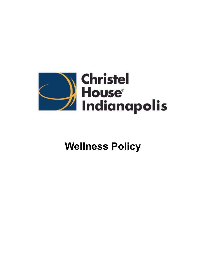

# **Wellness Policy**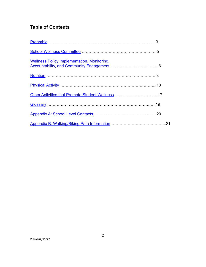# **Table of Contents**

| <b>Wellness Policy Implementation, Monitoring,</b> |     |
|----------------------------------------------------|-----|
|                                                    |     |
|                                                    |     |
| Other Activities that Promote Student Wellness 17  |     |
|                                                    |     |
|                                                    |     |
|                                                    | .21 |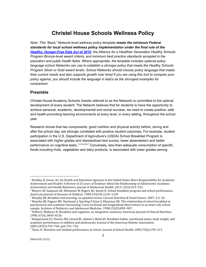# **Christel House Schools Wellness Policy**

*Note: This "Basic" Network-level wellness policy template meets the minimum Federal standards for local school wellness policy implementation under the final rule of the Healthy, [Hunger-Free](https://www.gpo.gov/fdsys/pkg/FR-2016-07-29/pdf/2016-17230.pdf) Kids Act of 2010, the Alliance for a Healthier Generation Healthy Schools Program Bronze-level award criteria, and minimum best practice standards accepted in the education and public health fields. Where appropriate, the template includes optional policy language school Networks can use to establish a stronger policy that meets the Healthy Schools Program Silver or Gold award levels. School Networks should choose policy language that meets their current needs and also supports growth over time] If you are using this tool to compare your policy against, you should include the language in italics as the strongest examples for comparison.*

## <span id="page-2-0"></span>**Preamble**

Christel House Academy Schools (hereto referred to as the Network) is committed to the optimal development of every student. The Network believes that for students to have the opportunity to achieve personal, academic, developmental and social success, we need to create positive, safe and health-promoting learning environments at every level, in every setting, throughout the school year.

Research shows that two components, good nutrition and physical activity before, during and after the school day, are strongly correlated with positive student outcomes. For example, student participation in the U.S. Department of Agriculture's (USDA) School Breakfast Program is associated with higher grades and standardized test scores, lower absenteeism and better performance on cognitive tasks.<sup>1,2,3,4,5,6,7</sup> Conversely, less-than-adequate consumption of specific foods including fruits, vegetables and dairy products, is associated with lower grades among

 $^7$  Taras, H. Nutrition and student performance at school. Journal of School Health. 2005;75(6):199-213.

<sup>&</sup>lt;sup>1</sup> Bradley, B, Green, AC. Do Health and Education Agencies in the United States Share Responsibility for Academic Achievement and Health? A Review of 25 years of Evidence About the Relationship of Adolescents' Academic Achievement and Health Behaviors, Journal of Adolescent Health. 2013; 52(5):523–532.

<sup>&</sup>lt;sup>2</sup> Meyers AF, Sampson AE, Weitzman M, Rogers BL, Kayne H. School breakfast program and school performance. American Journal of Diseases of Children. 1989;143(10):1234–1239.

<sup>&</sup>lt;sup>3</sup> Murphy JM. Breakfast and learning: an updated review. Current Nutrition & Food Science. 2007; 3:3-36.

<sup>4</sup> Murphy JM, Pagano ME, Nachmani J, Sperling P, Kane S, Kleinman RE. The relationship of school breakfast to psychosocial and academic functioning: Cross-sectional and longitudinal observations in an inner-city school sample. Archives of Pediatrics and Adolescent Medicine. 1998;152(9):899–907.

 $<sup>5</sup>$  Pollitt E, Mathews R. Breakfast and cognition: an integrative summary. American Journal of Clinical Nutrition.</sup> 1998; 67(4), 804S–813S.

<sup>6</sup> Rampersaud GC, Pereira MA, Girard BL, Adams J, Metzl JD. Breakfast habits, nutritional status, body weight, and academic performance in children and adolescents. Journal of the American Dietetic Association. 2005;105(5):743–760, quiz 761–762.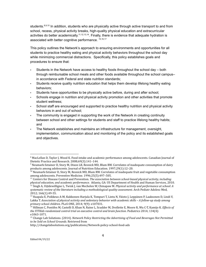students.<sup>8,9,10</sup> In addition, students who are physically active through active transport to and from school, recess, physical activity breaks, high-quality physical education and extracurricular activities do better academically.<sup>11,12,13,14</sup>. Finally, there is evidence that adequate hydration is associated with better cognitive performance. <sup>15,16,17</sup>

This policy outlines the Network's approach to ensuring environments and opportunities for all students to practice healthy eating and physical activity behaviors throughout the school day while minimizing commercial distractions. Specifically, this policy establishes goals and procedures to ensure that:

- Students in the Network have access to healthy foods throughout the school day  $-$  both through reimbursable school meals and other foods available throughout the school campusin accordance with Federal and state nutrition standards;
- Students receive quality nutrition education that helps them develop lifelong healthy eating behaviors;
- Students have opportunities to be physically active before, during and after school;
- Schools engage in nutrition and physical activity promotion and other activities that promote student wellness;
- School staff are encouraged and supported to practice healthy nutrition and physical activity behaviors in and out of school;
- The community is engaged in supporting the work of the Network in creating continuity between school and other settings for students and staff to practice lifelong healthy habits; and
- The Network establishes and maintains an infrastructure for management, oversight, implementation, communication about and monitoring of the policy and its established goals and objectives.

<sup>&</sup>lt;sup>8</sup> MacLellan D, Taylor J, Wood K. Food intake and academic performance among adolescents. Canadian Journal of Dietetic Practice and Research. 2008;69(3):141–144.

<sup>&</sup>lt;sup>9</sup> Neumark-Sztainer D, Story M, Dixon LB, Resnick MD, Blum RW. Correlates of inadequate consumption of dairy products among adolescents. Journal of Nutrition Education. 1997;29(1):12–20.

 $^{10}$  Neumark-Sztainer D, Story M, Resnick MD, Blum RW. Correlates of inadequate fruit and vegetable consumption among adolescents. Preventive Medicine. 1996;25(5):497–505.

<sup>11</sup> Centers for Disease Control and Prevention. *The association between school-based physical activity, including physical education, and academic performance*. Atlanta, GA: US Department of Health and Human Services, 2010.

<sup>12</sup> Singh A, Uijtdewilligne L, Twisk J, van Mechelen W, Chinapaw M. *Physical activity and performance at school: A systematic review of the literature including a methodological quality assessment.* Arch Pediatr Adolesc Med, 2012; 166(1):49-55.

<sup>&</sup>lt;sup>13</sup> Haapala E, Poikkeus A-M, Kukkonen-Harjula K, Tompuri T, Lintu N, Väisto J, Leppänen P, Laaksonen D, Lindi V, Lakka T. *Association of physical activity and sedentary behavior with academic skills – A follow-up study among primary school children*. PLoS ONE, 2014; 9(9): e107031.

<sup>14</sup> Hillman C, Pontifex M, Castelli D, Khan N, Raine L, Scudder M, Drollette E, Moore R, Wu C-T, Kamijo K. *Effects of the FITKids randomized control trial on executive control and brain function*. Pediatrics 2014; 134(4): e1063-1071.

<sup>15</sup> Change Lab Solutions. (2014). *Network Policy Restricting the Advertising of Food and Beverages Not Permitted to be Sold on School Grounds*. Retrieved from

http://changelabsolutions.org/publications/Network-policy-school-food-ads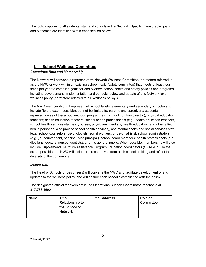This policy applies to all students, staff and schools in the Network. Specific measurable goals and outcomes are identified within each section below.

# <span id="page-4-0"></span>**I. School Wellness Committee**

## *Committee Role and Membership*

The Network will convene a representative Network Wellness Committee (heretofore referred to as the NWC or work within an existing school health/safety committee) that meets at least four times per year to establish goals for and oversee school health and safety policies and programs, including development, implementation and periodic review and update of this Network-level wellness policy (heretofore referred to as "wellness policy").

The NWC membership will represent all school levels (elementary and secondary schools) and include (to the extent possible), but not be limited to: parents and caregivers; students; representatives of the school nutrition program (e.g., school nutrition director); physical education teachers; health education teachers; school health professionals (e.g., health education teachers, school health services staff [e.g., nurses, physicians, dentists, health educators, and other allied health personnel who provide school health services], and mental health and social services staff [e.g., school counselors, psychologists, social workers, or psychiatrists]; school administrators (e.g.., superintendent, principal, vice principal), school board members; health professionals (e.g., dietitians, doctors, nurses, dentists); and the general public. When possible, membership will also include Supplemental Nutrition Assistance Program Education coordinators (SNAP-Ed). To the extent possible, the NWC will include representatives from each school building and reflect the diversity of the community.

## *Leadership*

The Head of Schools or designee(s) will convene the NWC and facilitate development of and updates to the wellness policy, and will ensure each school's compliance with the policy.

The designated official for oversight is the Operations Support Coordinator, reachable at 317.783.4690.

| <b>Name</b> | Title/<br><b>Relationship to</b><br>the School or<br><b>Network</b> | <b>Email address</b> | Role on<br><b>Committee</b> |
|-------------|---------------------------------------------------------------------|----------------------|-----------------------------|
|             |                                                                     |                      |                             |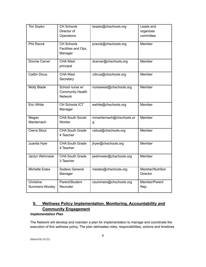| Tim Sopko                   | <b>CH Schools</b><br>Director of<br>Operations               | tsopko@chschools.org          | Leads and<br>organizes<br>committee |
|-----------------------------|--------------------------------------------------------------|-------------------------------|-------------------------------------|
| <b>Phil Ranck</b>           | <b>CH Schools</b><br>Facilities and Ops.<br>Manager          | pranck@chschools.org          | Member                              |
| Donnie Carver               | <b>CHA West</b><br>principal                                 | dcarver@chschools.org         | Member                              |
| <b>Caitlin Dicus</b>        | <b>CHA West</b><br>Secretary                                 | cdicus@chschools.org          | Member                              |
| Molly Blade                 | School nurse w/<br><b>Community Health</b><br><b>Network</b> | nursewest@chschools.org       | Member                              |
| <b>Eric White</b>           | CH Schools ICT<br>Manager                                    | ewhite@chschools.org          | Member                              |
| Megan<br>Manternach         | <b>CHA South Social</b><br>Worker                            | mmanternach@chschools.or<br>g | Member                              |
| Cierra Stout                | <b>CHA South Grade</b><br>4 Teacher                          | cstout@chschools.org          | Member                              |
| Juanita Hyer                | <b>CHA South Grade</b><br>4 Teacher                          | jhyer@chschools.org           | Member                              |
| Jaclyn Wehmeier             | <b>CHA South Grade</b><br>3 Teacher                          | jwehmeier@chschools.org       | Member                              |
| <b>Michelle Estes</b>       | Sodexo General<br>Manager                                    | mestes@chschools.org          | Member/Nutrition<br><b>Director</b> |
| Christina<br>Summers-Wooley | Parent/Student<br>Recruiter                                  | csummers@chschools.org        | Member/Parent<br>Rep.               |

# **II. Wellness Policy Implementation, Monitoring, Accountability and Community Engagement**

#### *Implementation Plan*

The Network will develop and maintain a plan for implementation to manage and coordinate the execution of this wellness policy. The plan delineates roles, responsibilities, actions and timelines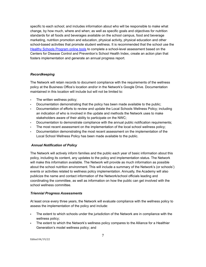specific to each school; and includes information about who will be responsible to make what change, by how much, where and when; as well as specific goals and objectives for nutrition standards for all foods and beverages available on the school campus, food and beverage marketing, nutrition promotion and education, physical activity, physical education and other school-based activities that promote student wellness. It is recommended that the school use the Healthy Schools [Program](http://www.schools.healthiergeneration.org/) online tools to complete a school-level assessment based on the Centers for Disease Control and Prevention's School Health Index, create an action plan that fosters implementation and generate an annual progress report.

#### *Recordkeeping*

The Network will retain records to document compliance with the requirements of the wellness policy at the Business Office's location and/or in the Network's Google Drive. Documentation maintained in this location will include but will not be limited to:

- The written wellness policy;
- Documentation demonstrating that the policy has been made available to the public;
- Documentation of efforts to review and update the Local Schools Wellness Policy; including an indication of who is involved in the update and methods the Network uses to make stakeholders aware of their ability to participate on the NWC;
- Documentation to demonstrate compliance with the annual public notification requirements;
- The most recent assessment on the implementation of the local school wellness policy;
- Documentation demonstrating the most recent assessment on the implementation of the Local School Wellness Policy has been made available to the public.

#### *Annual Notification of Policy*

The Network will actively inform families and the public each year of basic information about this policy, including its content, any updates to the policy and implementation status. The Network will make this information available. The Network will provide as much information as possible about the school nutrition environment. This will include a summary of the Network's (or schools') events or activities related to wellness policy implementation. Annually, the Academy will also publicize the name and contact information of the Network/school officials leading and coordinating the committee, as well as information on how the public can get involved with the school wellness committee.

#### *Triennial Progress Assessments*

At least once every three years, the Network will evaluate compliance with the wellness policy to assess the implementation of the policy and include:

- **▪** The extent to which schools under the jurisdiction of the Network are in compliance with the wellness policy;
- **▪** The extent to which the Network's wellness policy compares to the Alliance for a Healthier Generation's model wellness policy; and

Edited 04/19/22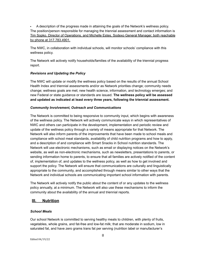**▪** A description of the progress made in attaining the goals of the Network's wellness policy. The position/person responsible for managing the triennial assessment and contact information is Tim Sopko, Director of Operations, and Michelle Estes, Sodexo General Manager, both reachable by phone at 317.783.4901.

The NWC, in collaboration with individual schools, will monitor schools' compliance with this wellness policy.

The Network will actively notify households/families of the availability of the triennial progress report.

#### *Revisions and Updating the Policy*

The NWC will update or modify the wellness policy based on the results of the annual School Health Index and triennial assessments and/or as Network priorities change; community needs change; wellness goals are met; new health science, information, and technology emerges; and new Federal or state guidance or standards are issued. **The wellness policy will be assessed and updated as indicated at least every three years, following the triennial assessment.**

#### *Community Involvement, Outreach and Communications*

The Network is committed to being responsive to community input, which begins with awareness of the wellness policy. The Network will actively communicate ways in which representatives of NWC and others can participate in the development, implementation and periodic review and update of the wellness policy through a variety of means appropriate for that Network. The Network will also inform parents of the improvements that have been made to school meals and compliance with school meal standards, availability of child nutrition programs and how to apply, and a description of and compliance with Smart Snacks in School nutrition standards. The Network will use electronic mechanisms, such as email or displaying notices on the Network's website, as well as non-electronic mechanisms, such as newsletters, presentations to parents, or sending information home to parents, to ensure that all families are actively notified of the content of, implementation of, and updates to the wellness policy, as well as how to get involved and support the policy. The Network will ensure that communications are culturally and linguistically appropriate to the community, and accomplished through means similar to other ways that the Network and individual schools are communicating important school information with parents.

The Network will actively notify the public about the content of or any updates to the wellness policy annually, at a minimum. The Network will also use these mechanisms to inform the community about the availability of the annual and triennial reports.

#### <span id="page-7-0"></span>**III. Nutrition**

#### *School Meals*

Our school Network is committed to serving healthy meals to children, with plenty of fruits, vegetables, whole grains, and fat-free and low-fat milk; that are moderate in sodium, low in saturated fat, and have zero grams trans fat per serving (nutrition label or manufacturer's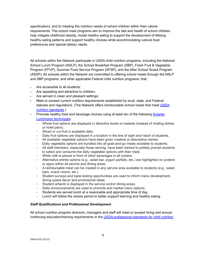specification); and to meeting the nutrition needs of school children within their calorie requirements. The school meal programs aim to improve the diet and health of school children, help mitigate childhood obesity, model healthy eating to support the development of lifelong healthy eating patterns and support healthy choices while accommodating cultural food preferences and special dietary needs.

All schools within the Network participate in USDA child nutrition programs, including the National School Lunch Program (NSLP), the School Breakfast Program (SBP), Fresh Fruit & Vegetable Program (FFVP), Summer Food Service Program (SFSP), and the After School Snack Program (ASSP). All schools within the Network are committed to offering school meals through the NSLP and SBP programs, and other applicable Federal child nutrition programs, that:

- Are accessible to all students;
- Are appealing and attractive to children;
- Are served in clean and pleasant settings;
- Meet or exceed current nutrition requirements established by local, state, and Federal statutes and regulations. (The Network offers reimbursable school meals that meet [USDA](http://www.fns.usda.gov/school-meals/nutrition-standards-school-meals) nutrition [standards](http://www.fns.usda.gov/school-meals/nutrition-standards-school-meals).)
- Promote healthy food and beverage choices using at least ten of the following [Smarter](http://smarterlunchrooms.org/ideas) [Lunchroom](http://smarterlunchrooms.org/ideas) techniques:
	- − Whole fruit options are displayed in attractive bowls or baskets (instead of chafing dishes or hotel pans).
	- − Sliced or cut fruit is available daily.
	- − Daily fruit options are displayed in a location in the line of sight and reach of students.
	- − All available vegetable options have been given creative or descriptive names.
	- − Daily vegetable options are bundled into all grab-and-go meals available to students.
	- − All staff members, especially those serving, have been trained to politely prompt students to select and consume the daily vegetable options with their meal.
	- − White milk is placed in front of other beverages in all coolers.
	- − Alternative entrée options (e.g., salad bar, yogurt parfaits, etc.) are highlighted on posters or signs within all service and dining areas.
	- − A reimbursable meal can be created in any service area available to students (e.g., salad bars, snack rooms, etc.).
	- − Student surveys and taste testing opportunities are used to inform menu development, dining space decor and promotional ideas.
	- − Student artwork is displayed in the service and/or dining areas.
	- − Daily announcements are used to promote and market menu options.
	- − Students are served lunch at a reasonable and appropriate time of day.
	- − Lunch will follow the recess period to better support learning and healthy eating.

#### *Staff Qualifications and Professional Development*

All school nutrition program directors, managers and staff will meet or exceed hiring and annual continuing education/training requirements in the USDA [professional](http://www.fns.usda.gov/sites/default/files/CN2014-0130.pdf) standards for child nutrition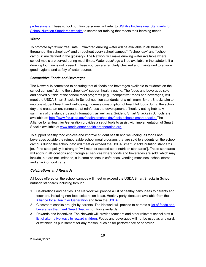[professionals.](http://www.fns.usda.gov/sites/default/files/CN2014-0130.pdf) These school nutrition personnel will refer to USDA's [Professional](http://professionalstandards.nal.usda.gov/) Standards for School Nutrition [Standards](http://professionalstandards.nal.usda.gov/) website to search for training that meets their learning needs.

#### *Water*

To promote hydration: free, safe, unflavored drinking water will be available to all students throughout the school day\* and throughout every school campus\* ("school day" and "school campus" are defined in the glossary). The Network will make drinking water available where school meals are served during meal times. Water cups/jugs will be available in the cafeteria if a drinking fountain is not present. These sources are regularly checked and maintained to ensure good hygiene and safety of water sources.

#### *Competitive Foods and Beverages*

The Network is committed to ensuring that all foods and beverages available to students on the school campus\* during the school day\* support healthy eating. The foods and beverages sold and served outside of the school meal programs (e.g., "competitive" foods and beverages) will meet the USDA Smart Snacks in School nutrition standards, at a minimum. Smart Snacks aim to improve student health and well-being, increase consumption of healthful foods during the school day and create an environment that reinforces the development of healthy eating habits. A summary of the standards and information, as well as a Guide to Smart Snacks in Schools are available at: [http://www.fns.usda.gov/healthierschoolday/tools-schools-smart-snacks.](http://www.fns.usda.gov/healthierschoolday/tools-schools-smart-snacks) The Alliance for a Healthier Generation provides a set of tools to assist with implementation of Smart Snacks available at [www.foodplanner.healthiergeneration.org.](http://www.foodplanner.healthiergeneration.org)

To support healthy food choices and improve student health and well-being, all foods and beverages outside the reimbursable school meal programs that are sold to students on the school campus during the school day\* will meet or exceed the USDA Smart Snacks nutrition standards [or, if the state policy is stronger, "will meet or exceed state nutrition standards"]. These standards will apply in all locations and through all services where foods and beverages are sold, which may include, but are not limited to, à la carte options in cafeterias, vending machines, school stores and snack or food carts.

#### *Celebrations and Rewards*

All foods offered on the school campus will meet or exceed the USDA Smart Snacks in School nutrition standards including through:

- 1. Celebrations and parties. The Network will provide a list of healthy party ideas to parents and teachers, including non-food celebration ideas. Healthy party ideas are available from the Alliance for a Healthier [Generation](https://www.healthiergeneration.org/take_action/schools/snacks_and_beverages/celebrations/) and from the [USDA](http://healthymeals.nal.usda.gov/local-wellness-policy-resources/wellness-policy-elements/healthy-celebrations).
- 2. Classroom snacks brought by parents. The Network will provide to parents a list of [foods](https://www.healthiergeneration.org/live_healthier/eat_healthier/alliance_product_navigator/browse_products/?product_category_id=720) and [beverages](https://www.healthiergeneration.org/live_healthier/eat_healthier/alliance_product_navigator/browse_products/?product_category_id=720) that meet Smart Snacks nutrition standards.
- 3. Rewards and incentives. The Network will provide teachers and other relevant school staff a list of [alternative](https://www.healthiergeneration.org/take_action/schools/snacks_and_beverages/non-food_rewards/) ways to reward children. Foods and beverages will not be used as a reward, or withheld as punishment for any reason, such as for performance or behavior.

Edited 04/19/22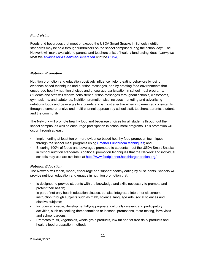#### *Fundraising*

Foods and beverages that meet or exceed the USDA Smart Snacks in Schools nutrition standards may be sold through fundraisers on the school campus\* during the school day\*. The Network will make available to parents and teachers a list of healthy fundraising ideas [*examples from the Alliance for a Healthier [Generation](https://www.healthiergeneration.org/take_action/schools/snacks_and_beverages/fundraisers/) and the [USDA](http://healthymeals.nal.usda.gov/local-wellness-policy-resources/wellness-policy-elements/healthy-fundraising)*].

#### *Nutrition Promotion*

Nutrition promotion and education positively influence lifelong eating behaviors by using evidence-based techniques and nutrition messages, and by creating food environments that encourage healthy nutrition choices and encourage participation in school meal programs. Students and staff will receive consistent nutrition messages throughout schools, classrooms, gymnasiums, and cafeterias. Nutrition promotion also includes marketing and advertising nutritious foods and beverages to students and is most effective when implemented consistently through a comprehensive and multi-channel approach by school staff, teachers, parents, students and the community.

The Network will promote healthy food and beverage choices for all students throughout the school campus, as well as encourage participation in school meal programs. This promotion will occur through at least:

- Implementing at least ten or more evidence-based healthy food promotion techniques through the school meal programs using Smarter [Lunchroom](http://smarterlunchrooms.org/ideas) techniques; and
- Ensuring 100% of foods and beverages promoted to students meet the USDA Smart Snacks in School nutrition standards. Additional promotion techniques that the Network and individual schools may use are available at <http://www.foodplanner.healthiergeneration.org/>

#### *Nutrition Education*

The Network will teach, model, encourage and support healthy eating by all students. Schools will provide nutrition education and engage in nutrition promotion that:

- Is designed to provide students with the knowledge and skills necessary to promote and protect their health;
- Is part of not only health education classes, but also integrated into other classroom instruction through subjects such as math, science, language arts, social sciences and elective subjects;
- Includes enjoyable, developmentally-appropriate, culturally-relevant and participatory activities, such as cooking demonstrations or lessons, promotions, taste-testing, farm visits and school gardens;
- Promotes fruits, vegetables, whole-grain products, low-fat and fat-free dairy products and healthy food preparation methods;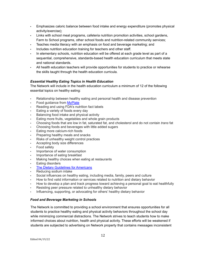- Emphasizes caloric balance between food intake and energy expenditure (promotes physical activity/exercise);
- Links with school meal programs, cafeteria nutrition promotion activities, school gardens, Farm to School programs, other school foods and nutrition-related community services;
- Teaches media literacy with an emphasis on food and beverage marketing; and
- Includes nutrition education training for teachers and other staff.
- In elementary schools, nutrition education will be offered at each grade level as part of a sequential, comprehensive, standards-based health education curriculum that meets state and national standards.
- All health education teachers will provide opportunities for students to practice or rehearse the skills taught through the health education curricula.

#### *Essential Healthy Eating Topics in Health Education*

The Network will include in the health education curriculum a minimum of 12 of the following essential topics on healthy eating:

- Relationship between healthy eating and personal health and disease prevention
- **Food guidance from [MyPlate](http://www.choosemyplate.gov)**
- Reading and using FDA's nutrition fact labels
- **Eating a variety of foods every day**
- Balancing food intake and physical activity
- Eating more fruits, vegetables and whole grain products
- Choosing foods that are low in fat, saturated fat, and cholesterol and do not contain *trans* fat
- Choosing foods and beverages with little added sugars
- Eating more calcium-rich foods
- Preparing healthy meals and snacks
- Risks of unhealthy weight control practices
- Accepting body size differences
- Food safety
- Importance of water consumption
- Importance of eating breakfast
- Making healthy choices when eating at restaurants
- Eating disorders
- **The Dietary [Guidelines](https://www.choosemyplate.gov/dietary-guidelines) for Americans**
- Reducing sodium intake
- Social influences on healthy eating, including media, family, peers and culture
- How to find valid information or services related to nutrition and dietary behavior
- How to develop a plan and track progress toward achieving a personal goal to eat healthfully
- Resisting peer pressure related to unhealthy dietary behavior
- Influencing, supporting, or advocating for others' healthy dietary behavior

#### *Food and Beverage Marketing in Schools*

The Network is committed to providing a school environment that ensures opportunities for all students to practice healthy eating and physical activity behaviors throughout the school day while minimizing commercial distractions. The Network strives to teach students how to make informed choices about nutrition, health and physical activity. These efforts will be weakened if students are subjected to advertising on Network property that contains messages inconsistent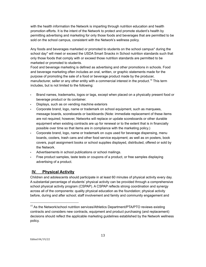with the health information the Network is imparting through nutrition education and health promotion efforts. It is the intent of the Network to protect and promote student's health by permitting advertising and marketing for only those foods and beverages that are permitted to be sold on the school campus, consistent with the Network's wellness policy.

Any foods and beverages marketed or promoted to students on the school campus\* during the school day\* will meet or exceed the USDA Smart Snacks in School nutrition standards such that only those foods that comply with or exceed those nutrition standards are permitted to be marketed or promoted to students.

Food and beverage marketing is defined as advertising and other promotions in schools. Food and beverage marketing often includes an oral, written, or graphic statements made for the purpose of promoting the sale of a food or beverage product made by the producer, manufacturer, seller or any other entity with a commercial interest in the product.<sup>15</sup> This term includes, but is not limited to the following:

- Brand names, trademarks, logos or tags, except when placed on a physically present food or beverage product or its container.
- Displays, such as on vending machine exteriors
- Corporate brand, logo, name or trademark on school equipment, such as marquees, message boards, scoreboards or backboards (Note: immediate replacement of these items are not required; however, Networks will replace or update scoreboards or other durable equipment when existing contracts are up for renewal or to the extent that is in financially possible over time so that items are in compliance with the marketing policy.)
- Corporate brand, logo, name or trademark on cups used for beverage dispensing, menu boards, coolers, trash cans and other food service equipment; as well as on posters, book covers, pupil assignment books or school supplies displayed, distributed, offered or sold by the Network.
- Advertisements in school publications or school mailings.
- Free product samples, taste tests or coupons of a product, or free samples displaying advertising of a product.

# <span id="page-12-0"></span>**IV. Physical Activity**

Children and adolescents should participate in at least 60 minutes of physical activity every day. A substantial percentage of students' physical activity can be provided through a comprehensive school physical activity program (CSPAP). A CSPAP reflects strong coordination and synergy across all of the components: quality physical education as the foundation; physical activity before, during and after school; staff involvement and family and community engagement and

<sup>&</sup>lt;sup>15</sup> As the Network/school nutrition services/Athletics Department/PTA/PTO reviews existing contracts and considers new contracts, equipment and product purchasing (and replacement) decisions should reflect the applicable marketing guidelines established by the Network wellness policy.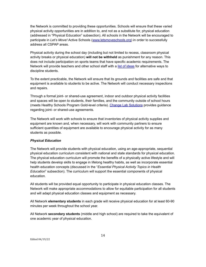the Network is committed to providing these opportunities. Schools will ensure that these varied physical activity opportunities are in addition to, and not as a substitute for, physical education (addressed in "Physical Education" subsection). All schools in the Network will be encouraged to participate in *Let's Move!* Active Schools ([www.letsmoveschools.org\)](http://www.letsmoveschools.org) in order to successfully address all CSPAP areas.

Physical activity during the school day (including but not limited to recess, classroom physical activity breaks or physical education) **will not be withheld** as punishment for any reason. This does not include participation on sports teams that have specific academic requirements. The Network will provide teachers and other school staff with a list of [ideas](http://cspinet.org/new/pdf/constructive_classroom_rewards.pdf) for alternative ways to discipline students.

To the extent practicable, the Network will ensure that its grounds and facilities are safe and that equipment is available to students to be active. The Network will conduct necessary inspections and repairs.

Through a formal joint- or shared-use agreement, indoor and outdoor physical activity facilities and spaces will be open to students, their families, and the community outside of school hours (meets Healthy Schools Program Gold-level criteria). Change Lab [Solutions](http://changelabsolutions.org/shared-use) provides guidance regarding joint- or shared-use agreements.

The Network will work with schools to ensure that inventories of physical activity supplies and equipment are known and, when necessary, will work with community partners to ensure sufficient quantities of equipment are available to encourage physical activity for as many students as possible.

#### *Physical Education*

The Network will provide students with physical education, using an age-appropriate, sequential physical education curriculum consistent with national and state standards for physical education. The physical education curriculum will promote the benefits of a physically active lifestyle and will help students develop skills to engage in lifelong healthy habits, as well as incorporate essential health education concepts (discussed in the "*Essential Physical Activity Topics in Health Education*" subsection). The curriculum will support the essential components of physical education.

All students will be provided equal opportunity to participate in physical education classes. The Network will make appropriate accommodations to allow for equitable participation for all students and will adapt physical education classes and equipment as necessary.

All Network **elementary students** in each grade will receive physical education for at least 60-90 minutes per week throughout the school year.

All Network **secondary students** (middle and high school) are required to take the equivalent of one academic year of physical education.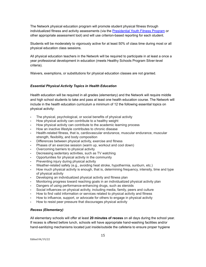The Network physical education program will promote student physical fitness through individualized fitness and activity assessments (via the [Presidential](http://www.pyfp.org/) Youth Fitness Program or other appropriate assessment tool) and will use criterion-based reporting for each student.

Students will be moderately to vigorously active for at least 50% of class time during most or all physical education class sessions.

All physical education teachers in the Network will be required to participate in at least a once a year professional development in education (meets Healthy Schools Program Silver-level criteria).

Waivers, exemptions, or substitutions for physical education classes are not granted.

#### *Essential Physical Activity Topics in Health Education*

Health education will be required in all grades (elementary) and the Network will require middle and high school students to take and pass at least one health education course. The Network will include in the health education curriculum a minimum of 12 the following essential topics on physical activity:

- The physical, psychological, or social benefits of physical activity
- How physical activity can contribute to a healthy weight
- How physical activity can contribute to the academic learning process
- How an inactive lifestyle contributes to chronic disease
- Health-related fitness, that is, cardiovascular endurance, muscular endurance, muscular strength, flexibility, and body composition
- Differences between physical activity, exercise and fitness
- Phases of an exercise session (warm up, workout and cool down)
- Overcoming barriers to physical activity
- Decreasing sedentary activities, such as TV watching
- Opportunities for physical activity in the community
- Preventing injury during physical activity
- Weather-related safety (e.g., avoiding heat stroke, hypothermia, sunburn, etc.)
- How much physical activity is enough, that is, determining frequency, intensity, time and type of physical activity
- Developing an individualized physical activity and fitness plan
- Monitoring progress toward reaching goals in an individualized physical activity plan
- Dangers of using performance-enhancing drugs, such as steroids
- Social influences on physical activity, including media, family, peers and culture
- How to find valid information or services related to physical activity and fitness
- How to influence, support, or advocate for others to engage in physical activity
- How to resist peer pressure that discourages physical activity

#### *Recess (Elementary)*

All elementary schools will offer at least **20 minutes of recess** on all days during the school year. If recess is offered before lunch, schools will have appropriate hand-washing facilities and/or hand-sanitizing mechanisms located just inside/outside the cafeteria to ensure proper hygiene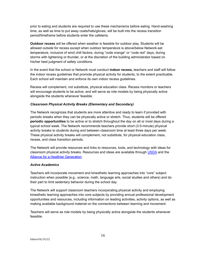prior to eating and students are required to use these mechanisms before eating. Hand-washing time, as well as time to put away coats/hats/gloves, will be built into the recess transition period/timeframe before students enter the cafeteria.

**Outdoor recess** will be offered when weather is feasible for outdoor play. Students will be allowed outside for recess except when outdoor temperature is above/below Network-set temperature, inclusive of wind chill factors, during "code orange" or "code red" days, during storms with lightening or thunder, or at the discretion of the building administrator based on his/her best judgment of safety conditions.

In the event that the school or Network must conduct **indoor recess,** teachers and staff will follow the indoor recess guidelines that promote physical activity for students, to the extent practicable. Each school will maintain and enforce its own indoor recess guidelines.

Recess will complement, not substitute, physical education class. Recess monitors or teachers will encourage students to be active, and will serve as role models by being physically active alongside the students whenever feasible.

#### *Classroom Physical Activity Breaks (Elementary and Secondary)*

The Network recognizes that students are more attentive and ready to learn if provided with periodic breaks when they can be physically active or stretch. Thus, students will be offered **periodic opportunities** to be active or to stretch throughout the day on all or most days during a typical school week. The Network recommends teachers provide short (3-5-minute) physical activity breaks to students during and between classroom time at least three days per week. These physical activity breaks will complement, not substitute, for physical education class, recess, and class transition periods.

The Network will provide resources and links to resources, tools, and technology with ideas for classroom physical activity breaks. Resources and ideas are available through [USDA](http://healthymeals.nal.usda.gov/resource-library/physical-activity-school-aged-children/activities-and-tools) and the **Alliance for a Healthier [Generation.](https://www.healthiergeneration.org/take_action/schools/physical_activity/physical_activities/)** 

#### *Active Academics*

Teachers will incorporate movement and kinesthetic learning approaches into "core" subject instruction when possible (e.g., science, math, language arts, social studies and others) and do their part to limit sedentary behavior during the school day.

The Network will support classroom teachers incorporating physical activity and employing kinesthetic learning approaches into core subjects by providing annual professional development opportunities and resources, including information on leading activities, activity options, as well as making available background material on the connections between learning and movement.

Teachers will serve as role models by being physically active alongside the students whenever feasible.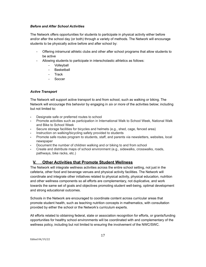#### *Before and After School Activities*

The Network offers opportunities for students to participate in physical activity either before and/or after the school day (or both) through a variety of methods. The Network will encourage students to be physically active before and after school by:

- Offering intramural athletic clubs and other after school programs that allow students to be active
- Allowing students to participate in interscholastic athletics as follows:
	- Volleyball
		- Basketball
		- Track
		- Soccer

#### *Active Transport*

The Network will support active transport to and from school, such as walking or biking. The Network will encourage this behavior by engaging in *six or more* of the activities below; including but not limited to:

- Designate safe or preferred routes to school
- Promote activities such as participation in International Walk to School Week, National Walk and Bike to School Week
- Secure storage facilities for bicycles and helmets (e.g., shed, cage, fenced area)
- **·** Instruction on walking/bicycling safety provided to students
- Promote safe routes program to students, staff, and parents via newsletters, websites, local newspaper
- Document the number of children walking and or biking to and from school
- Create and distribute maps of school environment (e.g., sidewalks, crosswalks, roads, pathways, bike racks, etc.)

## <span id="page-16-0"></span>**V. Other Activities that Promote Student Wellness**

The Network will integrate wellness activities across the entire school setting, not just in the cafeteria, other food and beverage venues and physical activity facilities. The Network will coordinate and integrate other initiatives related to physical activity, physical education, nutrition and other wellness components so all efforts are complementary, not duplicative, and work towards the same set of goals and objectives promoting student well-being, optimal development and strong educational outcomes.

Schools in the Network are encouraged to coordinate content across curricular areas that promote student health, such as teaching nutrition concepts in mathematics, with consultation provided by either the school or the Network's curriculum experts.

All efforts related to obtaining federal, state or association recognition for efforts, or grants/funding opportunities for healthy school environments will be coordinated with and complementary of the wellness policy, including but not limited to ensuring the involvement of the NWC/SWC.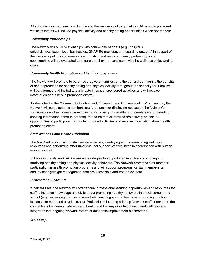All school-sponsored events will adhere to the wellness policy guidelines. All school-sponsored wellness events will include physical activity and healthy eating opportunities when appropriate.

#### *Community Partnerships*

The Network will build relationships with community partners (e.g., hospitals, universities/colleges, local businesses, SNAP-Ed providers and coordinators, etc.) in support of this wellness policy's implementation. Existing and new community partnerships and sponsorships will be evaluated to ensure that they are consistent with the wellness policy and its goals.

#### *Community Health Promotion and Family Engagement*

The Network will promote to parents/caregivers, families, and the general community the benefits of and approaches for healthy eating and physical activity throughout the school year. Families will be informed and invited to participate in school-sponsored activities and will receive information about health promotion efforts.

As described in the "Community Involvement, Outreach, and Communications" subsection*,* the Network will use electronic mechanisms (e.g., email or displaying notices on the Network's website), as well as non-electronic mechanisms, (e.g., newsletters, presentations to parents or sending information home to parents), to ensure that all families are actively notified of opportunities to participate in school-sponsored activities and receive information about health promotion efforts.

#### *Staff Wellness and Health Promotion*

The NWC will also focus on staff wellness issues, identifying and disseminating wellness resources and performing other functions that support staff wellness in coordination with human resources staff.

Schools in the Network will implement strategies to support staff in actively promoting and modeling healthy eating and physical activity behaviors. The Network promotes staff member participation in health promotion programs and will support programs for staff members on healthy eating/weight management that are accessible and free or low-cost.

#### *Professional Learning*

When feasible, the Network will offer annual professional learning opportunities and resources for staff to increase knowledge and skills about promoting healthy behaviors in the classroom and school (e.g., increasing the use of kinesthetic teaching approaches or incorporating nutrition lessons into math and physics class). Professional learning will help Network staff understand the connections between academics and health and the ways in which health and wellness are integrated into ongoing Network reform or academic improvement plans/efforts.

#### <span id="page-17-0"></span>*Glossary:*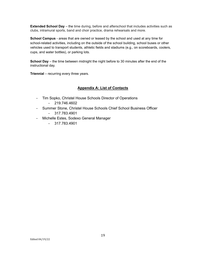**Extended School Day** – the time during, before and afterschool that includes activities such as clubs, intramural sports, band and choir practice, drama rehearsals and more.

**School Campus** - areas that are owned or leased by the school and used at any time for school-related activities, including on the outside of the school building, school buses or other vehicles used to transport students, athletic fields and stadiums (e.g., on scoreboards, coolers, cups, and water bottles), or parking lots.

**School Day** – the time between midnight the night before to 30 minutes after the end of the instructional day.

**Triennial** – recurring every three years.

#### **Appendix A: List of Contacts**

- Tim Sopko, Christel House Schools Director of Operations
	- 219.746.4602
- Summer Stone, Christel House Schools Chief School Business Officer
	- 317.783.4901
- Michelle Estes, Sodexo General Manager
	- 317.783.4901